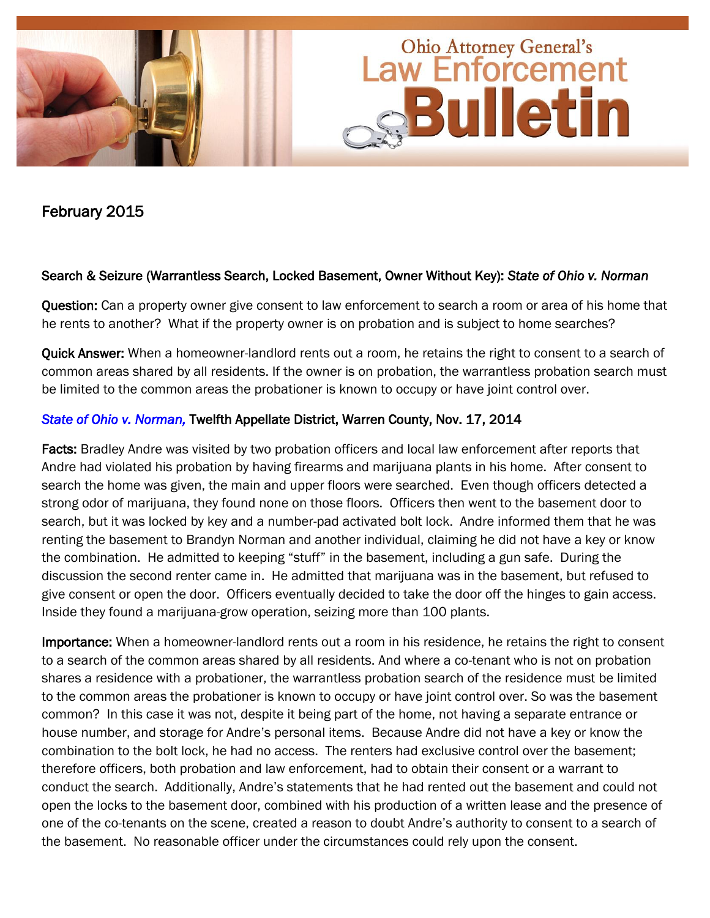

February 2015

## Search & Seizure (Warrantless Search, Locked Basement, Owner Without Key): *State of Ohio v. Norman*

Question: Can a property owner give consent to law enforcement to search a room or area of his home that he rents to another? What if the property owner is on probation and is subject to home searches?

Quick Answer: When a homeowner-landlord rents out a room, he retains the right to consent to a search of common areas shared by all residents. If the owner is on probation, the warrantless probation search must be limited to the common areas the probationer is known to occupy or have joint control over.

# *[State of Ohio v. Norman,](http://www.sconet.state.oh.us/rod/docs/pdf/12/2014/2014-ohio-5084.pdf)* Twelfth Appellate District, Warren County, Nov. 17, 2014

Facts: Bradley Andre was visited by two probation officers and local law enforcement after reports that Andre had violated his probation by having firearms and marijuana plants in his home. After consent to search the home was given, the main and upper floors were searched. Even though officers detected a strong odor of marijuana, they found none on those floors. Officers then went to the basement door to search, but it was locked by key and a number-pad activated bolt lock. Andre informed them that he was renting the basement to Brandyn Norman and another individual, claiming he did not have a key or know the combination. He admitted to keeping "stuff" in the basement, including a gun safe. During the discussion the second renter came in. He admitted that marijuana was in the basement, but refused to give consent or open the door. Officers eventually decided to take the door off the hinges to gain access. Inside they found a marijuana-grow operation, seizing more than 100 plants.

Importance: When a homeowner-landlord rents out a room in his residence, he retains the right to consent to a search of the common areas shared by all residents. And where a co-tenant who is not on probation shares a residence with a probationer, the warrantless probation search of the residence must be limited to the common areas the probationer is known to occupy or have joint control over. So was the basement common? In this case it was not, despite it being part of the home, not having a separate entrance or house number, and storage for Andre's personal items. Because Andre did not have a key or know the combination to the bolt lock, he had no access. The renters had exclusive control over the basement; therefore officers, both probation and law enforcement, had to obtain their consent or a warrant to conduct the search. Additionally, Andre's statements that he had rented out the basement and could not open the locks to the basement door, combined with his production of a written lease and the presence of one of the co-tenants on the scene, created a reason to doubt Andre's authority to consent to a search of the basement. No reasonable officer under the circumstances could rely upon the consent.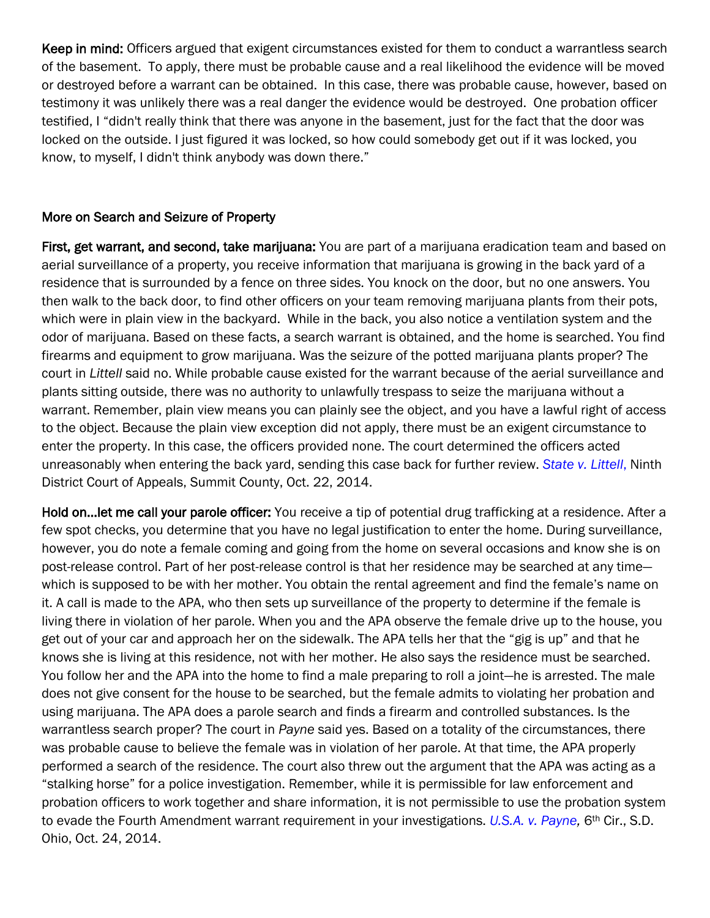Keep in mind: Officers argued that exigent circumstances existed for them to conduct a warrantless search of the basement. To apply, there must be probable cause and a real likelihood the evidence will be moved or destroyed before a warrant can be obtained. In this case, there was probable cause, however, based on testimony it was unlikely there was a real danger the evidence would be destroyed. One probation officer testified, I "didn't really think that there was anyone in the basement, just for the fact that the door was locked on the outside. I just figured it was locked, so how could somebody get out if it was locked, you know, to myself, I didn't think anybody was down there."

#### More on Search and Seizure of Property

First, get warrant, and second, take marijuana: You are part of a marijuana eradication team and based on aerial surveillance of a property, you receive information that marijuana is growing in the back yard of a residence that is surrounded by a fence on three sides. You knock on the door, but no one answers. You then walk to the back door, to find other officers on your team removing marijuana plants from their pots, which were in plain view in the backyard. While in the back, you also notice a ventilation system and the odor of marijuana. Based on these facts, a search warrant is obtained, and the home is searched. You find firearms and equipment to grow marijuana. Was the seizure of the potted marijuana plants proper? The court in *Littell* said no. While probable cause existed for the warrant because of the aerial surveillance and plants sitting outside, there was no authority to unlawfully trespass to seize the marijuana without a warrant. Remember, plain view means you can plainly see the object, and you have a lawful right of access to the object. Because the plain view exception did not apply, there must be an exigent circumstance to enter the property. In this case, the officers provided none. The court determined the officers acted unreasonably when entering the back yard, sending this case back for further review. *[State v. Littell](http://www.sconet.state.oh.us/rod/docs/pdf/9/2014/2014-ohio-4654.pdf)*, Ninth District Court of Appeals, Summit County, Oct. 22, 2014.

Hold on…let me call your parole officer: You receive a tip of potential drug trafficking at a residence. After a few spot checks, you determine that you have no legal justification to enter the home. During surveillance, however, you do note a female coming and going from the home on several occasions and know she is on post-release control. Part of her post-release control is that her residence may be searched at any time which is supposed to be with her mother. You obtain the rental agreement and find the female's name on it. A call is made to the APA, who then sets up surveillance of the property to determine if the female is living there in violation of her parole. When you and the APA observe the female drive up to the house, you get out of your car and approach her on the sidewalk. The APA tells her that the "gig is up" and that he knows she is living at this residence, not with her mother. He also says the residence must be searched. You follow her and the APA into the home to find a male preparing to roll a joint—he is arrested. The male does not give consent for the house to be searched, but the female admits to violating her probation and using marijuana. The APA does a parole search and finds a firearm and controlled substances. Is the warrantless search proper? The court in *Payne* said yes. Based on a totality of the circumstances, there was probable cause to believe the female was in violation of her parole. At that time, the APA properly performed a search of the residence. The court also threw out the argument that the APA was acting as a "stalking horse" for a police investigation. Remember, while it is permissible for law enforcement and probation officers to work together and share information, it is not permissible to use the probation system to evade the Fourth Amendment warrant requirement in your investigations. *[U.S.A. v. Payne,](http://www.ca6.uscourts.gov/opinions.pdf/14a0813n-06.pdf)* 6th Cir., S.D. Ohio, Oct. 24, 2014.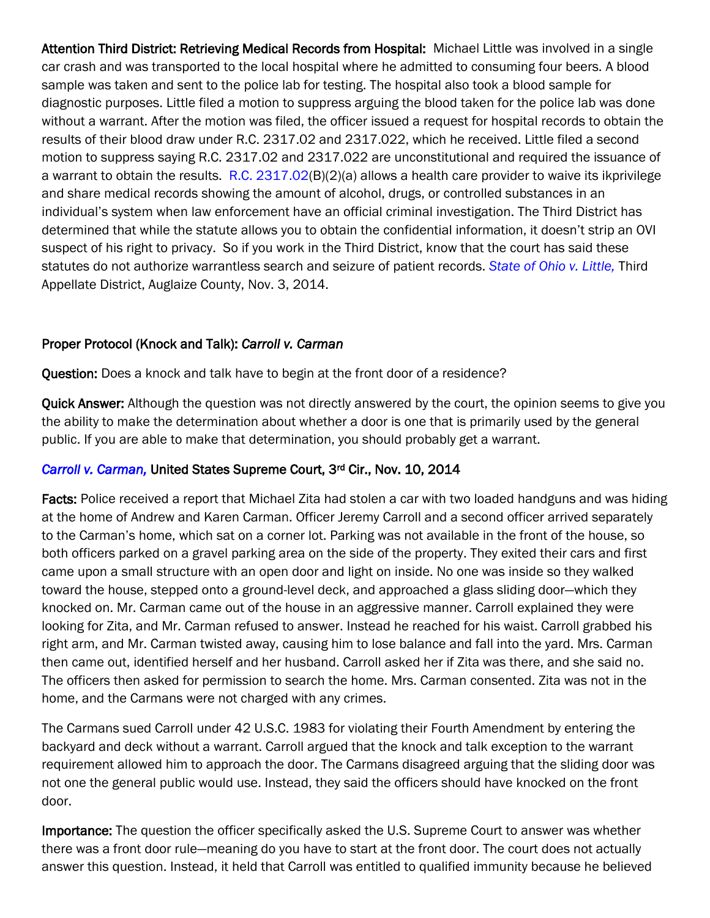Attention Third District: Retrieving Medical Records from Hospital: Michael Little was involved in a single car crash and was transported to the local hospital where he admitted to consuming four beers. A blood sample was taken and sent to the police lab for testing. The hospital also took a blood sample for diagnostic purposes. Little filed a motion to suppress arguing the blood taken for the police lab was done without a warrant. After the motion was filed, the officer issued a request for hospital records to obtain the results of their blood draw under R.C. 2317.02 and 2317.022, which he received. Little filed a second motion to suppress saying R.C. 2317.02 and 2317.022 are unconstitutional and required the issuance of a warrant to obtain the results. [R.C. 2317.02\(](http://codes.ohio.gov/orc/2317.02)B)(2)(a) allows a health care provider to waive its ikprivilege and share medical records showing the amount of alcohol, drugs, or controlled substances in an individual's system when law enforcement have an official criminal investigation. The Third District has determined that while the statute allows you to obtain the confidential information, it doesn't strip an OVI suspect of his right to privacy. So if you work in the Third District, know that the court has said these statutes do not authorize warrantless search and seizure of patient records. *[State of Ohio v. Little,](http://www.sconet.state.oh.us/rod/docs/pdf/3/2014/2014-ohio-4871.pdf)* Third Appellate District, Auglaize County, Nov. 3, 2014.

## Proper Protocol (Knock and Talk): *Carroll v. Carman*

Question: Does a knock and talk have to begin at the front door of a residence?

**Quick Answer:** Although the question was not directly answered by the court, the opinion seems to give you the ability to make the determination about whether a door is one that is primarily used by the general public. If you are able to make that determination, you should probably get a warrant.

## *[Carroll v. Carman,](http://www.supremecourt.gov/opinions/14pdf/14-212_c07d.pdf)* United States Supreme Court, 3rd Cir., Nov. 10, 2014

Facts: Police received a report that Michael Zita had stolen a car with two loaded handguns and was hiding at the home of Andrew and Karen Carman. Officer Jeremy Carroll and a second officer arrived separately to the Carman's home, which sat on a corner lot. Parking was not available in the front of the house, so both officers parked on a gravel parking area on the side of the property. They exited their cars and first came upon a small structure with an open door and light on inside. No one was inside so they walked toward the house, stepped onto a ground-level deck, and approached a glass sliding door—which they knocked on. Mr. Carman came out of the house in an aggressive manner. Carroll explained they were looking for Zita, and Mr. Carman refused to answer. Instead he reached for his waist. Carroll grabbed his right arm, and Mr. Carman twisted away, causing him to lose balance and fall into the yard. Mrs. Carman then came out, identified herself and her husband. Carroll asked her if Zita was there, and she said no. The officers then asked for permission to search the home. Mrs. Carman consented. Zita was not in the home, and the Carmans were not charged with any crimes.

The Carmans sued Carroll under 42 U.S.C. 1983 for violating their Fourth Amendment by entering the backyard and deck without a warrant. Carroll argued that the knock and talk exception to the warrant requirement allowed him to approach the door. The Carmans disagreed arguing that the sliding door was not one the general public would use. Instead, they said the officers should have knocked on the front door.

Importance: The question the officer specifically asked the U.S. Supreme Court to answer was whether there was a front door rule—meaning do you have to start at the front door. The court does not actually answer this question. Instead, it held that Carroll was entitled to qualified immunity because he believed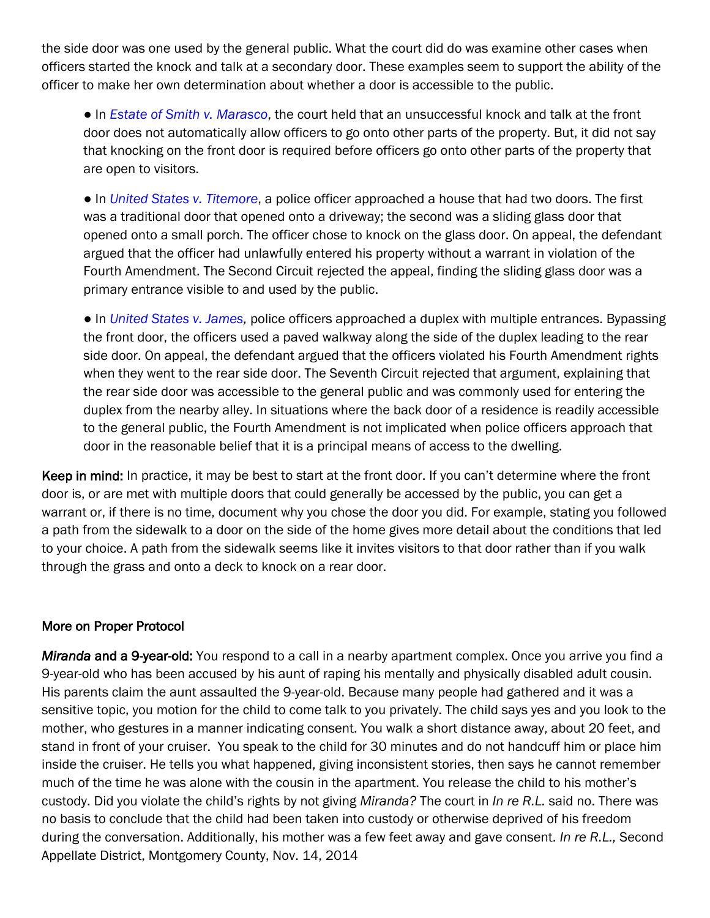the side door was one used by the general public. What the court did do was examine other cases when officers started the knock and talk at a secondary door. These examples seem to support the ability of the officer to make her own determination about whether a door is accessible to the public.

● In *[Estate of Smith v. Marasco](http://scholar.google.com/scholar_case?case=15459475536122560145&q=Estate+of+Smith+v.+Marasco&hl=en&as_sdt=6,36)*, the court held that an unsuccessful knock and talk at the front door does not automatically allow officers to go onto other parts of the property. But, it did not say that knocking on the front door is required before officers go onto other parts of the property that are open to visitors.

● In *[United States v. Titemore](http://scholar.google.com/scholar_case?case=3236878005822091000&q=437+F.+3d+251&hl=en&as_sdt=6,36)*, a police officer approached a house that had two doors. The first was a traditional door that opened onto a driveway; the second was a sliding glass door that opened onto a small porch. The officer chose to knock on the glass door. On appeal, the defendant argued that the officer had unlawfully entered his property without a warrant in violation of the Fourth Amendment. The Second Circuit rejected the appeal, finding the sliding glass door was a primary entrance visible to and used by the public.

● In *[United States v. James,](http://scholar.google.com/scholar_case?case=6688895055674736778&q=40+F.+3d+850&hl=en&as_sdt=6,36)* police officers approached a duplex with multiple entrances. Bypassing the front door, the officers used a paved walkway along the side of the duplex leading to the rear side door. On appeal, the defendant argued that the officers violated his Fourth Amendment rights when they went to the rear side door. The Seventh Circuit rejected that argument, explaining that the rear side door was accessible to the general public and was commonly used for entering the duplex from the nearby alley. In situations where the back door of a residence is readily accessible to the general public, the Fourth Amendment is not implicated when police officers approach that door in the reasonable belief that it is a principal means of access to the dwelling.

Keep in mind: In practice, it may be best to start at the front door. If you can't determine where the front door is, or are met with multiple doors that could generally be accessed by the public, you can get a warrant or, if there is no time, document why you chose the door you did. For example, stating you followed a path from the sidewalk to a door on the side of the home gives more detail about the conditions that led to your choice. A path from the sidewalk seems like it invites visitors to that door rather than if you walk through the grass and onto a deck to knock on a rear door.

#### More on Proper Protocol

*Miranda* and a 9-year-old: You respond to a call in a nearby apartment complex. Once you arrive you find a 9-year-old who has been accused by his aunt of raping his mentally and physically disabled adult cousin. His parents claim the aunt assaulted the 9-year-old. Because many people had gathered and it was a sensitive topic, you motion for the child to come talk to you privately. The child says yes and you look to the mother, who gestures in a manner indicating consent. You walk a short distance away, about 20 feet, and stand in front of your cruiser. You speak to the child for 30 minutes and do not handcuff him or place him inside the cruiser. He tells you what happened, giving inconsistent stories, then says he cannot remember much of the time he was alone with the cousin in the apartment. You release the child to his mother's custody. Did you violate the child's rights by not giving *Miranda?* The court in *In re R.L.* said no. There was no basis to conclude that the child had been taken into custody or otherwise deprived of his freedom during the conversation. Additionally, his mother was a few feet away and gave consent. *In re R.L.,* Second Appellate District, Montgomery County, Nov. 14, 2014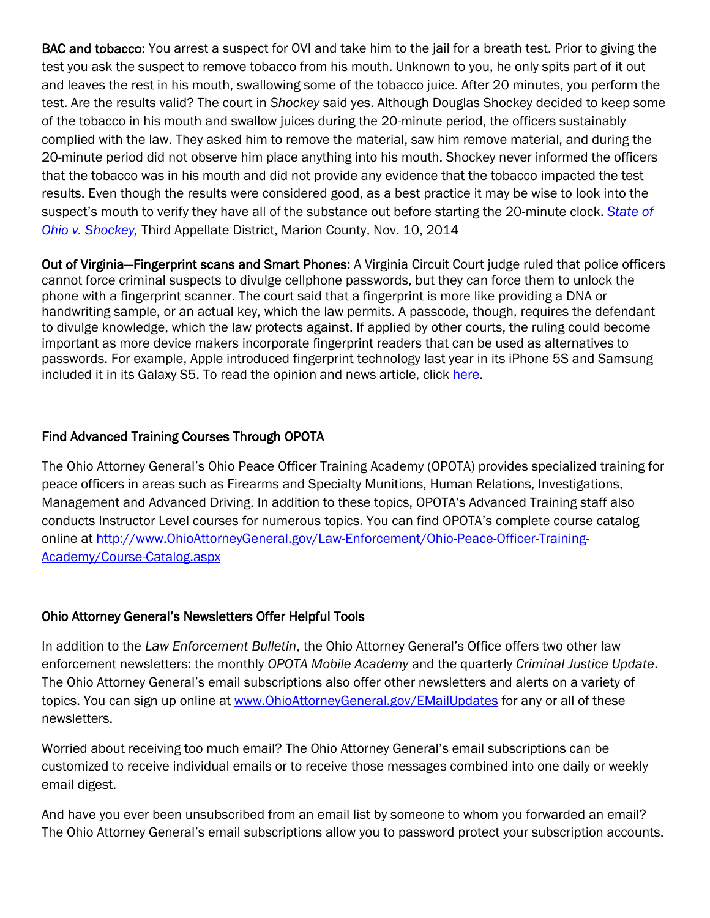BAC and tobacco: You arrest a suspect for OVI and take him to the jail for a breath test. Prior to giving the test you ask the suspect to remove tobacco from his mouth. Unknown to you, he only spits part of it out and leaves the rest in his mouth, swallowing some of the tobacco juice. After 20 minutes, you perform the test. Are the results valid? The court in *Shockey* said yes. Although Douglas Shockey decided to keep some of the tobacco in his mouth and swallow juices during the 20-minute period, the officers sustainably complied with the law. They asked him to remove the material, saw him remove material, and during the 20-minute period did not observe him place anything into his mouth. Shockey never informed the officers that the tobacco was in his mouth and did not provide any evidence that the tobacco impacted the test results. Even though the results were considered good, as a best practice it may be wise to look into the suspect's mouth to verify they have all of the substance out before starting the 20-minute clock. *[State of](http://www.sconet.state.oh.us/rod/docs/pdf/3/2014/2014-ohio-5004.pdf)  [Ohio v. Shockey,](http://www.sconet.state.oh.us/rod/docs/pdf/3/2014/2014-ohio-5004.pdf)* Third Appellate District, Marion County, Nov. 10, 2014

Out of Virginia—Fingerprint scans and Smart Phones: A Virginia Circuit Court judge [ruled](http://hamptonroads.com/2014/10/police-can-require-cellphone-fingerprint-not-pass-code) that police officers cannot force criminal suspects to divulge cellphone passwords, but they can force them to unlock the phone with a fingerprint scanner. The court said that a fingerprint is more like providing a DNA or handwriting sample, or an actual key, which the law permits. A passcode, though, requires the defendant to divulge knowledge, which the law protects against. If applied by other courts, the ruling could become important as more device makers incorporate fingerprint readers that can be used as alternatives to passwords. For example, Apple introduced fingerprint technology last year in its iPhone 5S and Samsung included it in its Galaxy S5. To read the opinion and news article, click [here.](http://hamptonroads.com/2014/10/police-can-require-cellphone-fingerprint-not-pass-code#ic)

## Find Advanced Training Courses Through OPOTA

The Ohio Attorney General's Ohio Peace Officer Training Academy (OPOTA) provides specialized training for peace officers in areas such as Firearms and Specialty Munitions, Human Relations, Investigations, Management and Advanced Driving. In addition to these topics, OPOTA's Advanced Training staff also conducts Instructor Level courses for numerous topics. You can find OPOTA's complete course catalog online at [http://www.OhioAttorneyGeneral.gov/Law-Enforcement/Ohio-Peace-Officer-Training-](http://www.ohioattorneygeneral.gov/Law-Enforcement/Ohio-Peace-Officer-Training-Academy/Course-Catalog.aspx)[Academy/Course-Catalog.aspx](http://www.ohioattorneygeneral.gov/Law-Enforcement/Ohio-Peace-Officer-Training-Academy/Course-Catalog.aspx)

## Ohio Attorney General's Newsletters Offer Helpful Tools

In addition to the *Law Enforcement Bulletin*, the Ohio Attorney General's Office offers two other law enforcement newsletters: the monthly *OPOTA Mobile Academy* and the quarterly *Criminal Justice Update*. The Ohio Attorney General's email subscriptions also offer other newsletters and alerts on a variety of topics. You can sign up online at [www.OhioAttorneyGeneral.gov/EMailUpdates](http://www.ohioattorneygeneral.gov/EMailUpdates) for any or all of these newsletters.

Worried about receiving too much email? The Ohio Attorney General's email subscriptions can be customized to receive individual emails or to receive those messages combined into one daily or weekly email digest.

And have you ever been unsubscribed from an email list by someone to whom you forwarded an email? The Ohio Attorney General's email subscriptions allow you to password protect your subscription accounts.